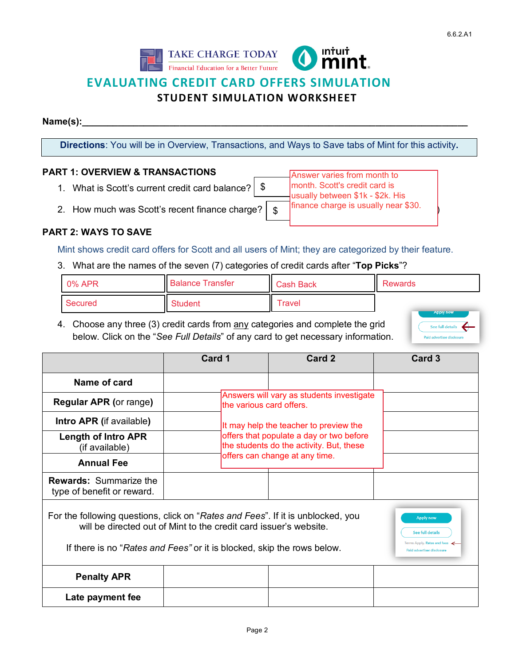



Answer varies from month to month. Scott's credit card is usually between \$1k - \$2k. His

# **EVALUATING CREDIT CARD OFFERS SIMULATION**

# **STUDENT SIMULATION WORKSHEET**

**Name(s):** 

**Directions**: You will be in Overview, Transactions, and Ways to Save tabs of Mint for this activity**.**

\$

#### **PART 1: OVERVIEW & TRANSACTIONS**

- 1. What is Scott's current credit card balance?
- 2. How much was Scott's recent finance charge?  $\| \mathcal{S} \|$  finance charge is usually near \$30.

| was Scott's recent finance charge? $\begin{array}{ c c } \hline \$ |  |
|--------------------------------------------------------------------|--|
|                                                                    |  |

### **PART 2: WAYS TO SAVE**

Mint shows credit card offers for Scott and all users of Mint; they are categorized by their feature.

3. What are the names of the seven (7) categories of credit cards after "**Top Picks**"?

| $\mid$ 0% APR  | <b>Balance Transfer</b> | Cash Back           | <b>Rewards</b>   |
|----------------|-------------------------|---------------------|------------------|
| <b>Secured</b> | <b>Student</b>          | $^\mathsf{T}$ ravel | <b>Apply now</b> |

4. Choose any three (3) credit cards from any categories and complete the grid below. Click on the "*See Full Details*" of any card to get necessary information.

| See full details |
|------------------|

See full details ns Apply. <mark>Rates and f</mark>r **Paid advertiser disclo** 

|                                                                                 | Card 1                                                                               | Card 2                                                                                                          | Card 3           |  |
|---------------------------------------------------------------------------------|--------------------------------------------------------------------------------------|-----------------------------------------------------------------------------------------------------------------|------------------|--|
| Name of card                                                                    |                                                                                      |                                                                                                                 |                  |  |
| <b>Regular APR (or range)</b>                                                   |                                                                                      | Answers will vary as students investigate<br>the various card offers.<br>It may help the teacher to preview the |                  |  |
| <b>Intro APR (if available)</b>                                                 |                                                                                      |                                                                                                                 |                  |  |
| <b>Length of Intro APR</b><br>(if available)                                    | offers that populate a day or two before<br>the students do the activity. But, these |                                                                                                                 |                  |  |
| <b>Annual Fee</b>                                                               |                                                                                      | offers can change at any time.                                                                                  |                  |  |
| <b>Rewards: Summarize the</b><br>type of benefit or reward.                     |                                                                                      |                                                                                                                 |                  |  |
| For the following questions, click on "Rates and Fees". If it is unblocked, you | will be directed out of Mint to the credit card issuer's website.                    |                                                                                                                 | <b>Apply now</b> |  |

If there is no "*Rates and Fees"* or it is blocked, skip the rows below.

| <b>Penalty APR</b> |  |  |
|--------------------|--|--|
| Late payment fee   |  |  |